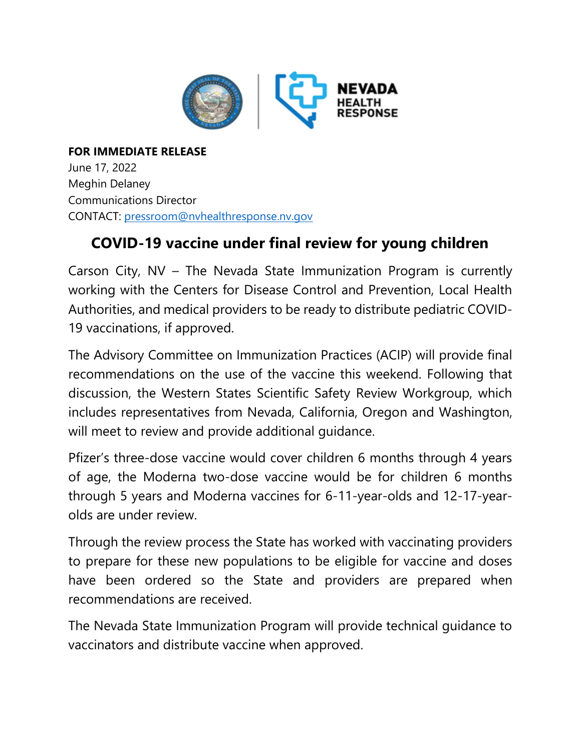

**FOR IMMEDIATE RELEASE** June 17, 2022 Meghin Delaney Communications Director CONTACT: [pressroom@nvhealthresponse.nv.gov](mailto:pressroom@nvhealthresponse.nv.gov)

## **COVID-19 vaccine under final review for young children**

Carson City, NV – The Nevada State Immunization Program is currently working with the Centers for Disease Control and Prevention, Local Health Authorities, and medical providers to be ready to distribute pediatric COVID-19 vaccinations, if approved.

The Advisory Committee on Immunization Practices (ACIP) will provide final recommendations on the use of the vaccine this weekend. Following that discussion, the Western States Scientific Safety Review Workgroup, which includes representatives from Nevada, California, Oregon and Washington, will meet to review and provide additional guidance.

Pfizer's three-dose vaccine would cover children 6 months through 4 years of age, the Moderna two-dose vaccine would be for children 6 months through 5 years and Moderna vaccines for 6-11-year-olds and 12-17-yearolds are under review.

Through the review process the State has worked with vaccinating providers to prepare for these new populations to be eligible for vaccine and doses have been ordered so the State and providers are prepared when recommendations are received.

The Nevada State Immunization Program will provide technical guidance to vaccinators and distribute vaccine when approved.